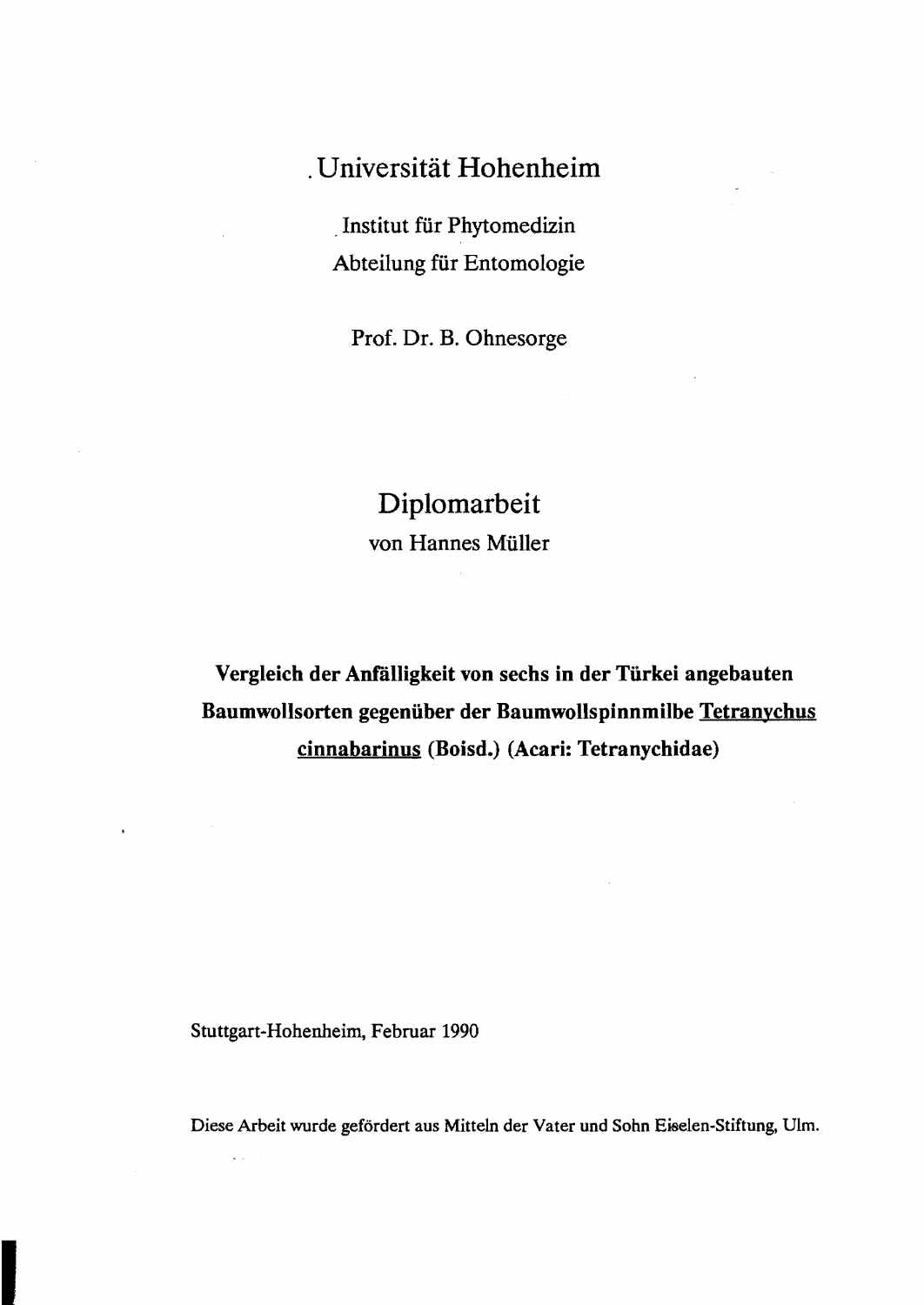## · Universität Hohenheim

, Institut für Phytomedizin Abteilung für Entomologie

Prof. Dr. B. Ohnesorge

## Diplomarbeit von Hannes Müller

Vergleich der Anfalligkeit von sechs in der Türkei angebauten Baumwollsorten gegenüber der Baumwollspinnmilbe Tetranychus cinnabarinus (Boisd.) (Acari: Tetranychidae)

Stuttgart-Hohenheim, Februar 1990

 $\zeta$  .

Diese Arbeit wurde gefördert aus Mitteln der Vater und Sohn Eiselen-Stiftung. Ulm.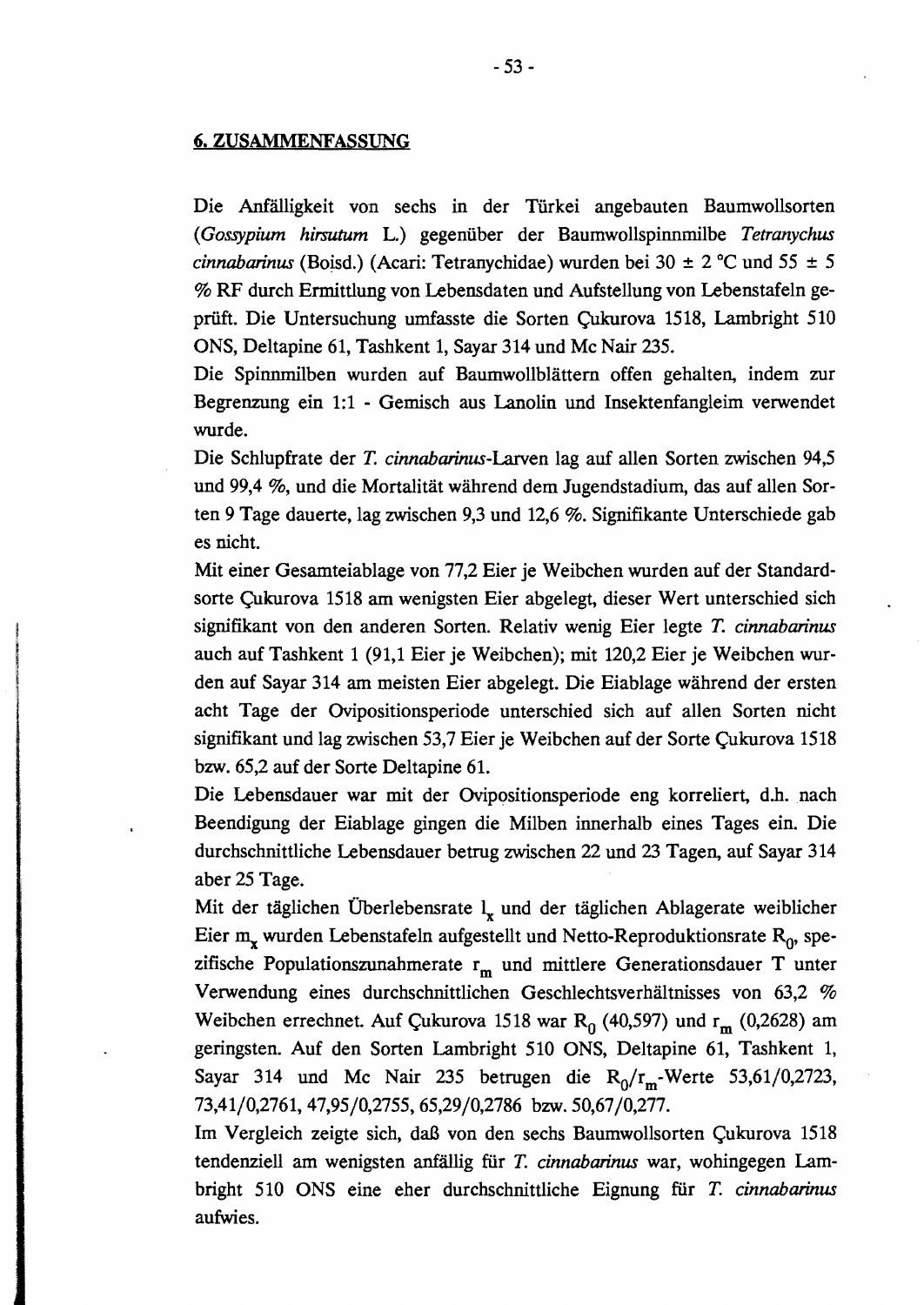## **6.** ZUSAMMENFASSUNG

Die Anfälligkeit von sechs in der Türkei angebauten Baumwollsorten *(Gossypium hirsutum* L.) gegenüber der Baumwollspinnmilbe *Tetranychus cinnabarinus* (Boisd.) (Acari: Tetranychidae) wurden bei 30  $\pm$  2 °C und 55  $\pm$  5 % RF durch Ermittlung von Lebensdaten und Aufstellung von Lebenstafeln geprüft. Die Untersuchung umfasste die Sorten Çukurova 1518, Lambright 510 ONS, Deltapine 61, Tashkent 1, Sayar 314 und Mc Nair 235.

Die Spinnmilben wurden auf Baumwollblättern offen gehalten, indem zur Begrenzung ein 1:1 - Gemisch aus Lanolin und Insektenfangleim verwendet wurde.

Die Schlupfrate der T. *cinnabarinus-Larven* lag auf allen Sorten zwischen 94,5 und 99,4 %, und die Mortalität während dem Jugendstadium, das auf allen Sorten 9 Tage dauerte, lag zwischen 9,3 und 12,6 %. Signifikante Unterschiede gab es nicht.

Mit einer Gesamteiablage von 77,2 Eier je Weibchen wurden auf der Standardsorte Çukurova 1518 am wenigsten Eier abgelegt, dieser Wert unterschied sich signifikant von den anderen Sorten. Relativ wenig Eier legte T. *cinnabarinus*  auch auf Tashkent 1 (91,1 Eier je Weibchen); mit 120,2 Eier je Weibchen wurden auf Sayar 314 am meisten Eier abgelegt. Die Eiablage während der ersten acht Tage der Ovipositionsperiode unterschied sich auf allen Sorten nicht signifikant und lag zwischen 53,7 Eier je Weibchen auf der Sorte Çukurova 1518 bzw. 65,2 auf der Sorte Deltapine 61.

Die Lebensdauer war mit der Ovipositionsperiode eng korreliert, d.h. nach Beendigung der Eiablage gingen die Milben innerhalb eines Tages ein. Die durchschnittliche Lebensdauer betrug zwischen 22 und 23 Tagen, auf Sayar 314 aber 25 Tage.

Mit der täglichen Überlebensrate  $\mathbf{l}_{\mathbf{x}}$  und der täglichen Ablagerate weiblicher Eier  $m_x$  wurden Lebenstafeln aufgestellt und Netto-Reproduktionsrate  $R_0$ , spezifische Populationszunahmerate r<sub>m</sub> und mittlere Generationsdauer T unter Verwendung eines durchschnittlichen Geschlechtsverhältnisses von 63,2 % Weibchen errechnet. Auf Çukurova 1518 war R<sub>0</sub> (40,597) und r<sub>m</sub> (0,2628) am geringsten. Auf den Sorten Lambright 510 ONS, Deltapine 61, Tashkent 1, Sayar 314 und Mc Nair 235 betrugen die  $R_0/r_m$ -Werte 53,61/0,2723, 73,41/0,2761,47,95/0,2755,65,29/0,2786 bzw. 50,67/0,277.

Im Vergleich zeigte sich, daß von den sechs Baumwollsorten Çukurova 1518 tendenziell am wenigsten anfällig für T. *cinnabarinus* war, wohingegen Lambright 510 ONS eine eher durchschnittliche Eignung für T. *cinnabarinus*  aufwies.